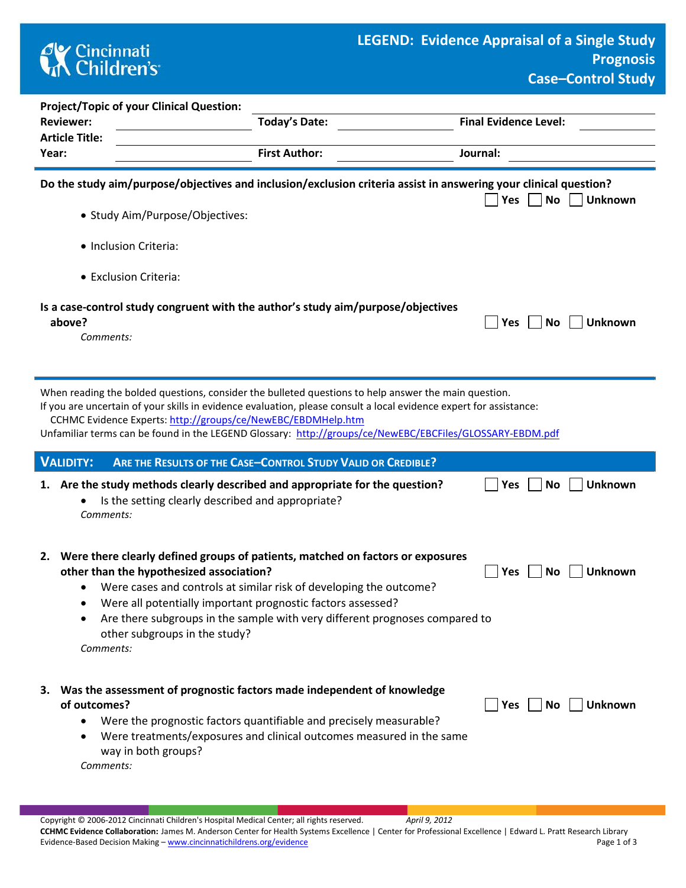

**P** Yes No Unknown

| <b>Project/Topic of your Clinical Question:</b> |                      |                                                                                                                  |
|-------------------------------------------------|----------------------|------------------------------------------------------------------------------------------------------------------|
| <b>Reviewer:</b>                                | Today's Date:        | <b>Final Evidence Level:</b>                                                                                     |
| <b>Article Title:</b>                           |                      |                                                                                                                  |
| Year:                                           | <b>First Author:</b> | Journal:                                                                                                         |
|                                                 |                      |                                                                                                                  |
|                                                 |                      | Do the study aim/purpose/objectives and inclusion/exclusion criteria assist in answering your clinical question? |

- Study Aim/Purpose/Objectives:
	- Inclusion Criteria:
	- Exclusion Criteria:

| Is a case-control study congruent with the author's study aim/purpose/objectives |                      |
|----------------------------------------------------------------------------------|----------------------|
| above?                                                                           | ■ Yes ■ No ■ Unknown |

*Comments:* 

When reading the bolded questions, consider the bulleted questions to help answer the main question.

If you are uncertain of your skills in evidence evaluation, please consult a local evidence expert for assistance: CCHMC Evidence Experts:<http://groups/ce/NewEBC/EBDMHelp.htm>

Unfamiliar terms can be found in the LEGEND Glossary: <http://groups/ce/NewEBC/EBCFiles/GLOSSARY-EBDM.pdf>

| <b>VALIDITY:</b><br>ARE THE RESULTS OF THE CASE-CONTROL STUDY VALID OR CREDIBLE?                                                                                                                                                                                                                                                                                                                                               |            |                       |
|--------------------------------------------------------------------------------------------------------------------------------------------------------------------------------------------------------------------------------------------------------------------------------------------------------------------------------------------------------------------------------------------------------------------------------|------------|-----------------------|
| 1. Are the study methods clearly described and appropriate for the question?<br>Is the setting clearly described and appropriate?<br>$\bullet$<br>Comments:                                                                                                                                                                                                                                                                    | Yes        | <b>Unknown</b><br>No. |
| 2. Were there clearly defined groups of patients, matched on factors or exposures<br>other than the hypothesized association?<br>Were cases and controls at similar risk of developing the outcome?<br>$\bullet$<br>Were all potentially important prognostic factors assessed?<br>٠<br>Are there subgroups in the sample with very different prognoses compared to<br>$\bullet$<br>other subgroups in the study?<br>Comments: | <b>Yes</b> | <b>Unknown</b><br>No. |
| 3. Was the assessment of prognostic factors made independent of knowledge<br>of outcomes?<br>Were the prognostic factors quantifiable and precisely measurable?<br>$\bullet$<br>Were treatments/exposures and clinical outcomes measured in the same<br>$\bullet$<br>way in both groups?<br>Comments:                                                                                                                          | <b>Yes</b> | <b>Unknown</b><br>No. |

**CCHMC Evidence Collaboration:** James M. Anderson Center for Health Systems Excellence | Center for Professional Excellence | Edward L. Pratt Research Library Evidence-Based Decision Making – [www.cincinnatichildrens.org/evidence](http://www.cincinnatichildrens.org/service/j/anderson-center/evidence-based-care/legend/) Page 1 of 3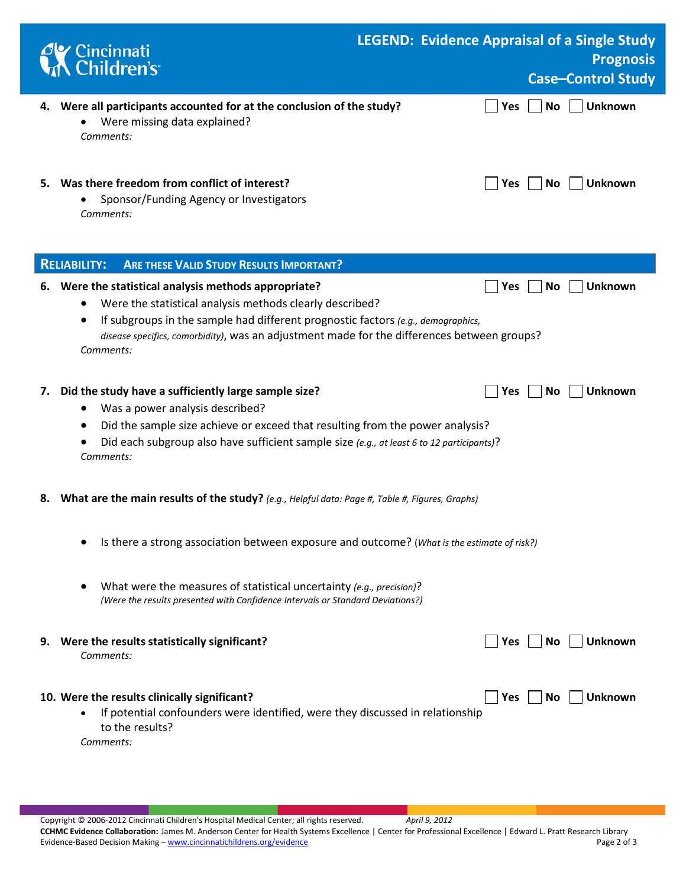|    | Cincinnati<br>Children's                                                                                                                                                                                                                                                                                          | <b>LEGEND: Evidence Appraisal of a Single Study</b> |                         | <b>Prognosis</b><br><b>Case-Control Study</b> |
|----|-------------------------------------------------------------------------------------------------------------------------------------------------------------------------------------------------------------------------------------------------------------------------------------------------------------------|-----------------------------------------------------|-------------------------|-----------------------------------------------|
|    | 4. Were all participants accounted for at the conclusion of the study?<br>Were missing data explained?<br>Comments:                                                                                                                                                                                               |                                                     | <b>No</b><br><b>Yes</b> | <b>Unknown</b>                                |
|    | 5. Was there freedom from conflict of interest?<br>Sponsor/Funding Agency or Investigators<br>Comments:                                                                                                                                                                                                           |                                                     | <b>No</b><br><b>Yes</b> | <b>Unknown</b>                                |
|    | <b>RELIABILITY:</b><br><b>ARE THESE VALID STUDY RESULTS IMPORTANT?</b>                                                                                                                                                                                                                                            |                                                     |                         |                                               |
|    | 6. Were the statistical analysis methods appropriate?<br>Were the statistical analysis methods clearly described?<br>If subgroups in the sample had different prognostic factors (e.g., demographics,<br>disease specifics, comorbidity), was an adjustment made for the differences between groups?<br>Comments: |                                                     | No<br><b>Yes</b>        | <b>Unknown</b>                                |
| 7. | Did the study have a sufficiently large sample size?<br>Was a power analysis described?<br>Did the sample size achieve or exceed that resulting from the power analysis?<br>Did each subgroup also have sufficient sample size (e.g., at least 6 to 12 participants)?<br>Comments:                                |                                                     | No.<br>Yes              | <b>Unknown</b>                                |
|    | 8. What are the main results of the study? (e.g., Helpful data: Page #, Table #, Figures, Graphs)                                                                                                                                                                                                                 |                                                     |                         |                                               |
|    | Is there a strong association between exposure and outcome? (What is the estimate of risk?)                                                                                                                                                                                                                       |                                                     |                         |                                               |
|    | What were the measures of statistical uncertainty (e.g., precision)?<br>(Were the results presented with Confidence Intervals or Standard Deviations?)                                                                                                                                                            |                                                     |                         |                                               |
|    | 9. Were the results statistically significant?<br>Comments:                                                                                                                                                                                                                                                       |                                                     | Yes<br>No.              | <b>Unknown</b>                                |
|    | 10. Were the results clinically significant?<br>If potential confounders were identified, were they discussed in relationship<br>$\bullet$<br>to the results?<br>Comments:                                                                                                                                        |                                                     | Yes<br>No.              | <b>Unknown</b>                                |